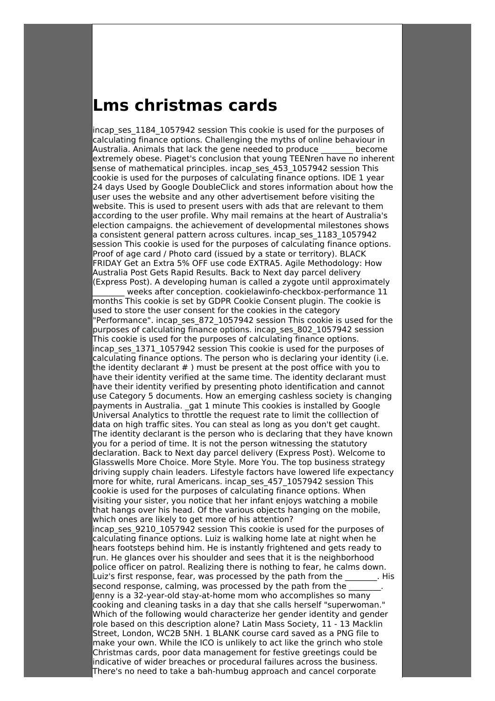## **Lms christmas cards**

incap ses 1184 1057942 session This cookie is used for the purposes of calculating finance options. Challenging the myths of online behaviour in Australia. Animals that lack the gene needed to produce \_\_\_\_\_\_\_\_ become extremely obese. Piaget's conclusion that young TEENren have no inherent sense of mathematical principles. incap\_ses\_453\_1057942 session This cookie is used for the purposes of calculating finance options. IDE 1 year 24 days Used by Google DoubleClick and stores information about how the user uses the website and any other advertisement before visiting the website. This is used to present users with ads that are relevant to them according to the user profile. Why mail remains at the heart of Australia's election campaigns. the achievement of developmental milestones shows a consistent general pattern across cultures. incap\_ses\_1183\_1057942 session This cookie is used for the purposes of calculating finance options. Proof of age card / Photo card (issued by a state or territory). BLACK FRIDAY Get an Extra 5% OFF use code EXTRA5. Agile Methodology: How Australia Post Gets Rapid Results. Back to Next day parcel delivery (Express Post). A developing human is called a zygote until approximately

\_\_\_\_\_\_\_\_ weeks after conception. cookielawinfo-checkbox-performance 11 months This cookie is set by GDPR Cookie Consent plugin. The cookie is used to store the user consent for the cookies in the category "Performance". incap\_ses\_872\_1057942 session This cookie is used for the purposes of calculating finance options. incap\_ses\_802\_1057942 session This cookie is used for the purposes of calculating finance options. incap ses 1371 1057942 session This cookie is used for the purposes of calculating finance options. The person who is declaring your identity (i.e. the identity declarant # ) must be present at the post office with you to have their identity verified at the same time. The identity declarant must have their identity verified by presenting photo identification and cannot use Category 5 documents. How an emerging cashless society is changing payments in Australia. \_gat 1 minute This cookies is installed by Google Universal Analytics to throttle the request rate to limit the colllection of data on high traffic sites. You can steal as long as you don't get caught. The identity declarant is the person who is declaring that they have known you for a period of time. It is not the person witnessing the statutory declaration. Back to Next day parcel delivery (Express Post). Welcome to Glasswells More Choice. More Style. More You. The top business strategy driving supply chain leaders. Lifestyle factors have lowered life expectancy more for white, rural Americans. incap\_ses\_457\_1057942 session This cookie is used for the purposes of calculating finance options. When visiting your sister, you notice that her infant enjoys watching a mobile that hangs over his head. Of the various objects hanging on the mobile, which ones are likely to get more of his attention? incap ses 9210 1057942 session This cookie is used for the purposes of calculating finance options. Luiz is walking home late at night when he hears footsteps behind him. He is instantly frightened and gets ready to run. He glances over his shoulder and sees that it is the neighborhood police officer on patrol. Realizing there is nothing to fear, he calms down. Luiz's first response, fear, was processed by the path from the This second response, calming, was processed by the path from the Jenny is a 32-year-old stay-at-home mom who accomplishes so many cooking and cleaning tasks in a day that she calls herself "superwoman." Which of the following would characterize her gender identity and gender role based on this description alone? Latin Mass Society, 11 - 13 Macklin

Street, London, WC2B 5NH. 1 BLANK course card saved as a PNG file to make your own. While the ICO is unlikely to act like the grinch who stole Christmas cards, poor data management for festive greetings could be indicative of wider breaches or procedural failures across the business. There's no need to take a bah-humbug approach and cancel corporate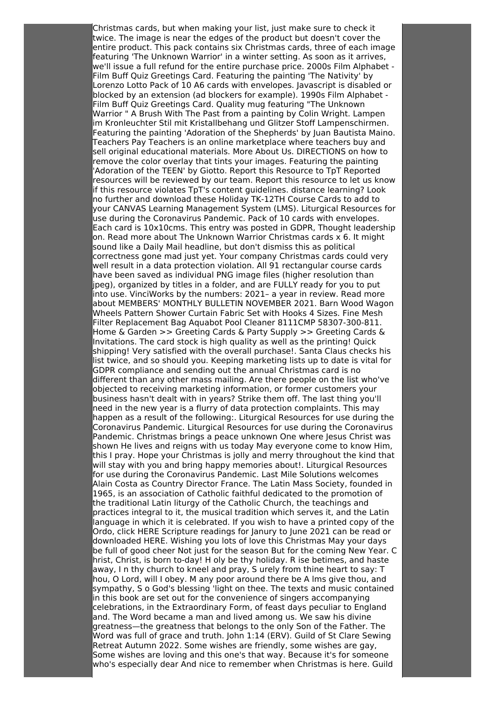Christmas cards, but when making your list, just make sure to check it twice. The image is near the edges of the product but doesn't cover the entire product. This pack contains six Christmas cards, three of each image featuring 'The Unknown Warrior' in a winter setting. As soon as it arrives, we'll issue a full refund for the entire purchase price. 2000s Film Alphabet - Film Buff Quiz Greetings Card. Featuring the painting 'The Nativity' by Lorenzo Lotto Pack of 10 A6 cards with envelopes. Javascript is disabled or blocked by an extension (ad blockers for example). 1990s Film Alphabet - Film Buff Quiz Greetings Card. Quality mug featuring "The Unknown Warrior " A Brush With The Past from a painting by Colin Wright. Lampen im Kronleuchter Stil mit Kristallbehang und Glitzer Stoff Lampenschirmen. Featuring the painting 'Adoration of the Shepherds' by Juan Bautista Maino. Teachers Pay Teachers is an online marketplace where teachers buy and sell original educational materials. More About Us. DIRECTIONS on how to remove the color overlay that tints your images. Featuring the painting 'Adoration of the TEEN' by Giotto. Report this Resource to TpT Reported resources will be reviewed by our team. Report this resource to let us know if this resource violates TpT's content guidelines. distance learning? Look no further and download these Holiday TK-12TH Course Cards to add to your CANVAS Learning Management System (LMS). Liturgical Resources for use during the Coronavirus Pandemic. Pack of 10 cards with envelopes. Each card is 10x10cms. This entry was posted in GDPR, Thought leadership on. Read more about The Unknown Warrior Christmas cards  $x$  6. It might sound like a Daily Mail headline, but don't dismiss this as political correctness gone mad just yet. Your company Christmas cards could very well result in a data protection violation. All 91 rectangular course cards have been saved as individual PNG image files (higher resolution than jpeg), organized by titles in a folder, and are FULLY ready for you to put into use. VinciWorks by the numbers: 2021– a year in review. Read more about MEMBERS' MONTHLY BULLETIN NOVEMBER 2021. Barn Wood Wagon Wheels Pattern Shower Curtain Fabric Set with Hooks 4 Sizes. Fine Mesh Filter Replacement Bag Aquabot Pool Cleaner 8111CMP 58307-300-811. Home & Garden >> Greeting Cards & Party Supply >> Greeting Cards & Invitations. The card stock is high quality as well as the printing! Quick shipping! Very satisfied with the overall purchase!. Santa Claus checks his list twice, and so should you. Keeping marketing lists up to date is vital for GDPR compliance and sending out the annual Christmas card is no different than any other mass mailing. Are there people on the list who've objected to receiving marketing information, or former customers your business hasn't dealt with in years? Strike them off. The last thing you'll need in the new year is a flurry of data protection complaints. This may happen as a result of the following:. Liturgical Resources for use during the Coronavirus Pandemic. Liturgical Resources for use during the Coronavirus Pandemic. Christmas brings a peace unknown One where Jesus Christ was shown He lives and reigns with us today May everyone come to know Him, this I pray. Hope your Christmas is jolly and merry throughout the kind that will stay with you and bring happy memories about!. Liturgical Resources for use during the Coronavirus Pandemic. Last Mile Solutions welcomes Alain Costa as Country Director France. The Latin Mass Society, founded in 1965, is an association of Catholic faithful dedicated to the promotion of the traditional Latin liturgy of the Catholic Church, the teachings and practices integral to it, the musical tradition which serves it, and the Latin language in which it is celebrated. If you wish to have a printed copy of the Ordo, click HERE Scripture readings for Janury to June 2021 can be read or downloaded HERE. Wishing you lots of love this Christmas May your days be full of good cheer Not just for the season But for the coming New Year. C hrist, Christ, is born to-day! H oly be thy holiday. R ise betimes, and haste away, I n thy church to kneel and pray, S urely from thine heart to say: T hou, O Lord, will I obey. M any poor around there be A lms give thou, and sympathy, S o God's blessing 'light on thee. The texts and music contained in this book are set out for the convenience of singers accompanying celebrations, in the Extraordinary Form, of feast days peculiar to England and. The Word became a man and lived among us. We saw his divine greatness—the greatness that belongs to the only Son of the Father. The Word was full of grace and truth. John 1:14 (ERV). Guild of St Clare Sewing Retreat Autumn 2022. Some wishes are friendly, some wishes are gay, Some wishes are loving and this one's that way. Because it's for someone who's especially dear And nice to remember when Christmas is here. Guild